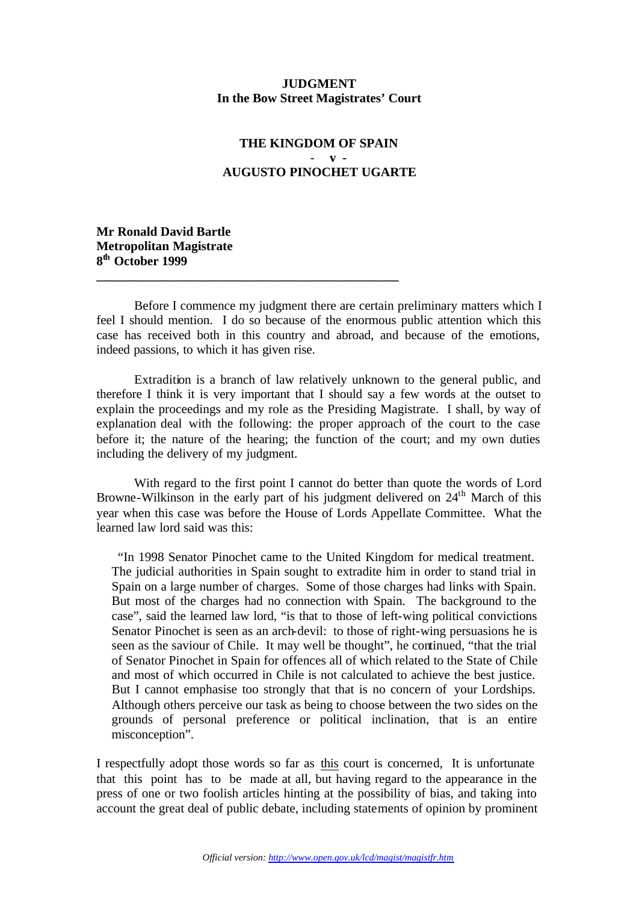## **JUDGMENT In the Bow Street Magistrates' Court**

## **THE KINGDOM OF SPAIN**  - **v - AUGUSTO PINOCHET UGARTE**

**Mr Ronald David Bartle Metropolitan Magistrate 8 th October 1999**

Before I commence my judgment there are certain preliminary matters which I feel I should mention. I do so because of the enormous public attention which this case has received both in this country and abroad, and because of the emotions, indeed passions, to which it has given rise.

**\_\_\_\_\_\_\_\_\_\_\_\_\_\_\_\_\_\_\_\_\_\_\_\_\_\_\_\_\_\_\_\_\_\_\_\_\_\_\_\_\_\_\_\_\_\_\_**

Extradition is a branch of law relatively unknown to the general public, and therefore I think it is very important that I should say a few words at the outset to explain the proceedings and my role as the Presiding Magistrate. I shall, by way of explanation deal with the following: the proper approach of the court to the case before it; the nature of the hearing; the function of the court; and my own duties including the delivery of my judgment.

With regard to the first point I cannot do better than quote the words of Lord Browne-Wilkinson in the early part of his judgment delivered on  $24<sup>th</sup>$  March of this year when this case was before the House of Lords Appellate Committee. What the learned law lord said was this:

 "In 1998 Senator Pinochet came to the United Kingdom for medical treatment. The judicial authorities in Spain sought to extradite him in order to stand trial in Spain on a large number of charges. Some of those charges had links with Spain. But most of the charges had no connection with Spain. The background to the case", said the learned law lord, "is that to those of left-wing political convictions Senator Pinochet is seen as an arch-devil: to those of right-wing persuasions he is seen as the saviour of Chile. It may well be thought", he continued, "that the trial of Senator Pinochet in Spain for offences all of which related to the State of Chile and most of which occurred in Chile is not calculated to achieve the best justice. But I cannot emphasise too strongly that that is no concern of your Lordships. Although others perceive our task as being to choose between the two sides on the grounds of personal preference or political inclination, that is an entire misconception".

I respectfully adopt those words so far as this court is concerned, It is unfortunate that this point has to be made at all, but having regard to the appearance in the press of one or two foolish articles hinting at the possibility of bias, and taking into account the great deal of public debate, including statements of opinion by prominent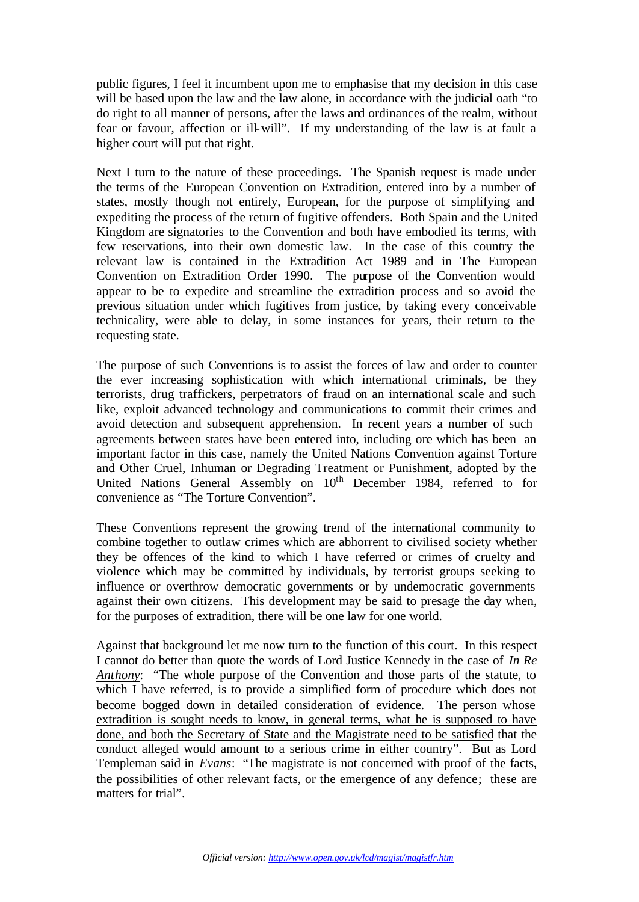public figures, I feel it incumbent upon me to emphasise that my decision in this case will be based upon the law and the law alone, in accordance with the judicial oath "to do right to all manner of persons, after the laws and ordinances of the realm, without fear or favour, affection or ill-will". If my understanding of the law is at fault a higher court will put that right.

Next I turn to the nature of these proceedings. The Spanish request is made under the terms of the European Convention on Extradition, entered into by a number of states, mostly though not entirely, European, for the purpose of simplifying and expediting the process of the return of fugitive offenders. Both Spain and the United Kingdom are signatories to the Convention and both have embodied its terms, with few reservations, into their own domestic law. In the case of this country the relevant law is contained in the Extradition Act 1989 and in The European Convention on Extradition Order 1990. The purpose of the Convention would appear to be to expedite and streamline the extradition process and so avoid the previous situation under which fugitives from justice, by taking every conceivable technicality, were able to delay, in some instances for years, their return to the requesting state.

The purpose of such Conventions is to assist the forces of law and order to counter the ever increasing sophistication with which international criminals, be they terrorists, drug traffickers, perpetrators of fraud on an international scale and such like, exploit advanced technology and communications to commit their crimes and avoid detection and subsequent apprehension. In recent years a number of such agreements between states have been entered into, including one which has been an important factor in this case, namely the United Nations Convention against Torture and Other Cruel, Inhuman or Degrading Treatment or Punishment, adopted by the United Nations General Assembly on  $10<sup>th</sup>$  December 1984, referred to for convenience as "The Torture Convention".

These Conventions represent the growing trend of the international community to combine together to outlaw crimes which are abhorrent to civilised society whether they be offences of the kind to which I have referred or crimes of cruelty and violence which may be committed by individuals, by terrorist groups seeking to influence or overthrow democratic governments or by undemocratic governments against their own citizens. This development may be said to presage the day when, for the purposes of extradition, there will be one law for one world.

Against that background let me now turn to the function of this court. In this respect I cannot do better than quote the words of Lord Justice Kennedy in the case of *In Re Anthony*: "The whole purpose of the Convention and those parts of the statute, to which I have referred, is to provide a simplified form of procedure which does not become bogged down in detailed consideration of evidence. The person whose extradition is sought needs to know, in general terms, what he is supposed to have done, and both the Secretary of State and the Magistrate need to be satisfied that the conduct alleged would amount to a serious crime in either country". But as Lord Templeman said in *Evans*: "The magistrate is not concerned with proof of the facts, the possibilities of other relevant facts, or the emergence of any defence; these are matters for trial".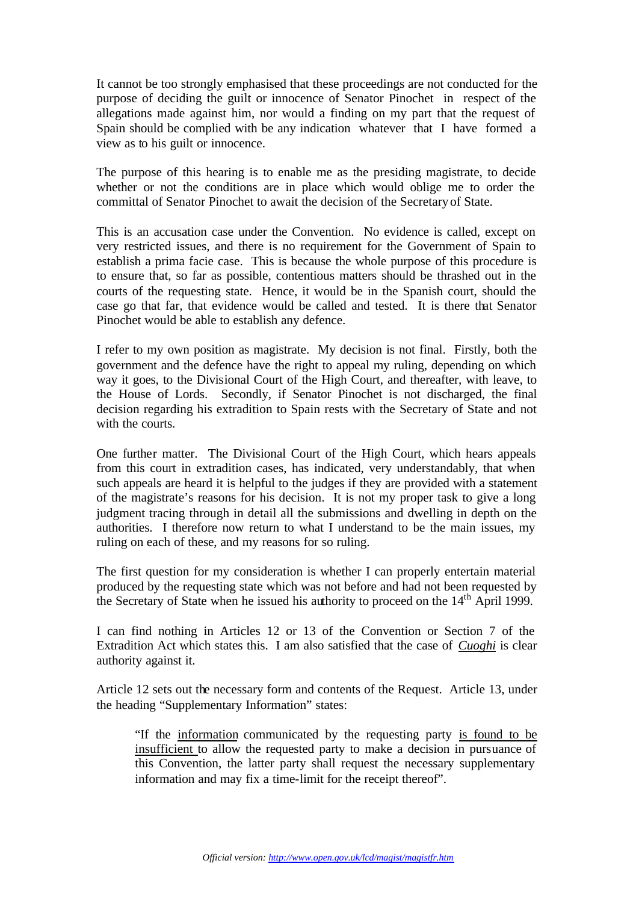It cannot be too strongly emphasised that these proceedings are not conducted for the purpose of deciding the guilt or innocence of Senator Pinochet in respect of the allegations made against him, nor would a finding on my part that the request of Spain should be complied with be any indication whatever that I have formed a view as to his guilt or innocence.

The purpose of this hearing is to enable me as the presiding magistrate, to decide whether or not the conditions are in place which would oblige me to order the committal of Senator Pinochet to await the decision of the Secretary of State.

This is an accusation case under the Convention. No evidence is called, except on very restricted issues, and there is no requirement for the Government of Spain to establish a prima facie case. This is because the whole purpose of this procedure is to ensure that, so far as possible, contentious matters should be thrashed out in the courts of the requesting state. Hence, it would be in the Spanish court, should the case go that far, that evidence would be called and tested. It is there that Senator Pinochet would be able to establish any defence.

I refer to my own position as magistrate. My decision is not final. Firstly, both the government and the defence have the right to appeal my ruling, depending on which way it goes, to the Divisional Court of the High Court, and thereafter, with leave, to the House of Lords. Secondly, if Senator Pinochet is not discharged, the final decision regarding his extradition to Spain rests with the Secretary of State and not with the courts.

One further matter. The Divisional Court of the High Court, which hears appeals from this court in extradition cases, has indicated, very understandably, that when such appeals are heard it is helpful to the judges if they are provided with a statement of the magistrate's reasons for his decision. It is not my proper task to give a long judgment tracing through in detail all the submissions and dwelling in depth on the authorities. I therefore now return to what I understand to be the main issues, my ruling on each of these, and my reasons for so ruling.

The first question for my consideration is whether I can properly entertain material produced by the requesting state which was not before and had not been requested by the Secretary of State when he issued his authority to proceed on the 14<sup>th</sup> April 1999.

I can find nothing in Articles 12 or 13 of the Convention or Section 7 of the Extradition Act which states this. I am also satisfied that the case of *Cuoghi* is clear authority against it.

Article 12 sets out the necessary form and contents of the Request. Article 13, under the heading "Supplementary Information" states:

"If the information communicated by the requesting party is found to be insufficient to allow the requested party to make a decision in pursuance of this Convention, the latter party shall request the necessary supplementary information and may fix a time-limit for the receipt thereof".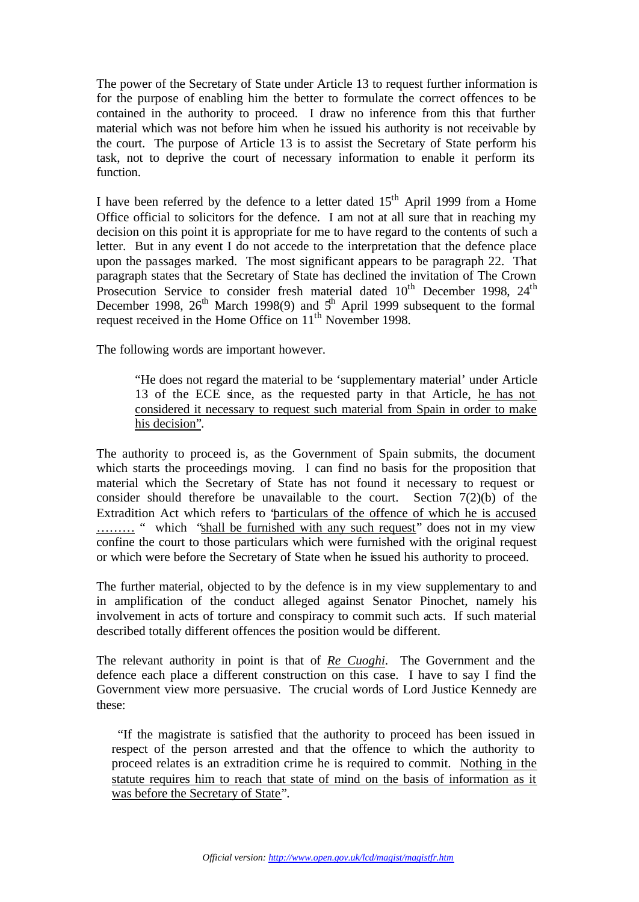The power of the Secretary of State under Article 13 to request further information is for the purpose of enabling him the better to formulate the correct offences to be contained in the authority to proceed. I draw no inference from this that further material which was not before him when he issued his authority is not receivable by the court. The purpose of Article 13 is to assist the Secretary of State perform his task, not to deprive the court of necessary information to enable it perform its function.

I have been referred by the defence to a letter dated  $15<sup>th</sup>$  April 1999 from a Home Office official to solicitors for the defence. I am not at all sure that in reaching my decision on this point it is appropriate for me to have regard to the contents of such a letter. But in any event I do not accede to the interpretation that the defence place upon the passages marked. The most significant appears to be paragraph 22. That paragraph states that the Secretary of State has declined the invitation of The Crown Prosecution Service to consider fresh material dated  $10<sup>th</sup>$  December 1998,  $24<sup>th</sup>$ December 1998,  $26<sup>th</sup>$  March 1998(9) and  $5<sup>th</sup>$  April 1999 subsequent to the formal request received in the Home Office on 11<sup>th</sup> November 1998.

The following words are important however.

"He does not regard the material to be 'supplementary material' under Article 13 of the ECE since, as the requested party in that Article, he has not considered it necessary to request such material from Spain in order to make his decision".

The authority to proceed is, as the Government of Spain submits, the document which starts the proceedings moving. I can find no basis for the proposition that material which the Secretary of State has not found it necessary to request or consider should therefore be unavailable to the court. Section 7(2)(b) of the Extradition Act which refers to "particulars of the offence of which he is accused ……… " which "shall be furnished with any such request" does not in my view confine the court to those particulars which were furnished with the original request or which were before the Secretary of State when he issued his authority to proceed.

The further material, objected to by the defence is in my view supplementary to and in amplification of the conduct alleged against Senator Pinochet, namely his involvement in acts of torture and conspiracy to commit such acts. If such material described totally different offences the position would be different.

The relevant authority in point is that of *Re Cuoghi*. The Government and the defence each place a different construction on this case. I have to say I find the Government view more persuasive. The crucial words of Lord Justice Kennedy are these:

 "If the magistrate is satisfied that the authority to proceed has been issued in respect of the person arrested and that the offence to which the authority to proceed relates is an extradition crime he is required to commit. Nothing in the statute requires him to reach that state of mind on the basis of information as it was before the Secretary of State".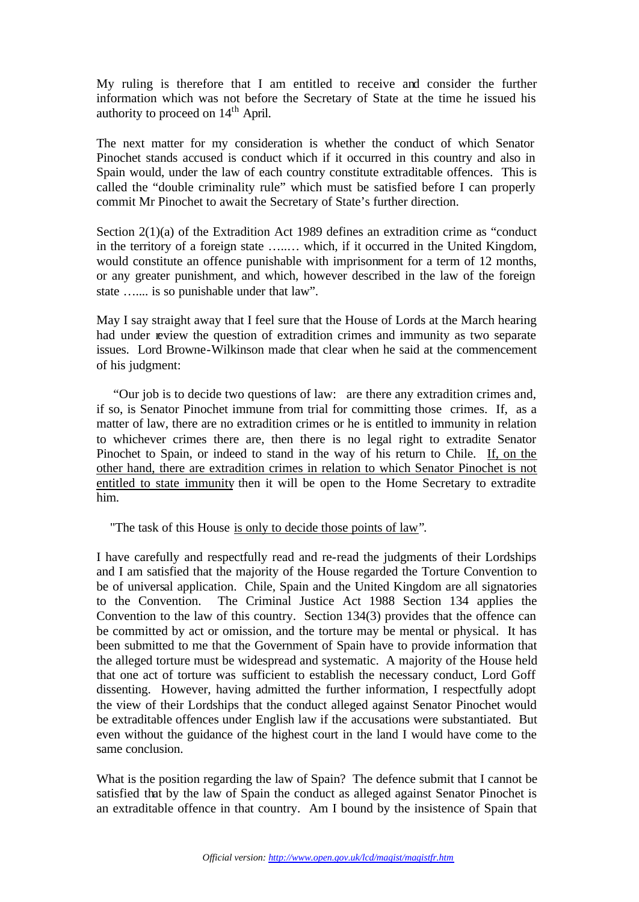My ruling is therefore that I am entitled to receive and consider the further information which was not before the Secretary of State at the time he issued his authority to proceed on  $14<sup>th</sup>$  April.

The next matter for my consideration is whether the conduct of which Senator Pinochet stands accused is conduct which if it occurred in this country and also in Spain would, under the law of each country constitute extraditable offences. This is called the "double criminality rule" which must be satisfied before I can properly commit Mr Pinochet to await the Secretary of State's further direction.

Section 2(1)(a) of the Extradition Act 1989 defines an extradition crime as "conduct in the territory of a foreign state …..… which, if it occurred in the United Kingdom, would constitute an offence punishable with imprisonment for a term of 12 months, or any greater punishment, and which, however described in the law of the foreign state ….... is so punishable under that law".

May I say straight away that I feel sure that the House of Lords at the March hearing had under review the question of extradition crimes and immunity as two separate issues. Lord Browne-Wilkinson made that clear when he said at the commencement of his judgment:

 "Our job is to decide two questions of law: are there any extradition crimes and, if so, is Senator Pinochet immune from trial for committing those crimes. If, as a matter of law, there are no extradition crimes or he is entitled to immunity in relation to whichever crimes there are, then there is no legal right to extradite Senator Pinochet to Spain, or indeed to stand in the way of his return to Chile. If, on the other hand, there are extradition crimes in relation to which Senator Pinochet is not entitled to state immunity then it will be open to the Home Secretary to extradite him.

"The task of this House is only to decide those points of law".

I have carefully and respectfully read and re-read the judgments of their Lordships and I am satisfied that the majority of the House regarded the Torture Convention to be of universal application. Chile, Spain and the United Kingdom are all signatories to the Convention. The Criminal Justice Act 1988 Section 134 applies the Convention to the law of this country. Section 134(3) provides that the offence can be committed by act or omission, and the torture may be mental or physical. It has been submitted to me that the Government of Spain have to provide information that the alleged torture must be widespread and systematic. A majority of the House held that one act of torture was sufficient to establish the necessary conduct, Lord Goff dissenting. However, having admitted the further information, I respectfully adopt the view of their Lordships that the conduct alleged against Senator Pinochet would be extraditable offences under English law if the accusations were substantiated. But even without the guidance of the highest court in the land I would have come to the same conclusion.

What is the position regarding the law of Spain? The defence submit that I cannot be satisfied that by the law of Spain the conduct as alleged against Senator Pinochet is an extraditable offence in that country. Am I bound by the insistence of Spain that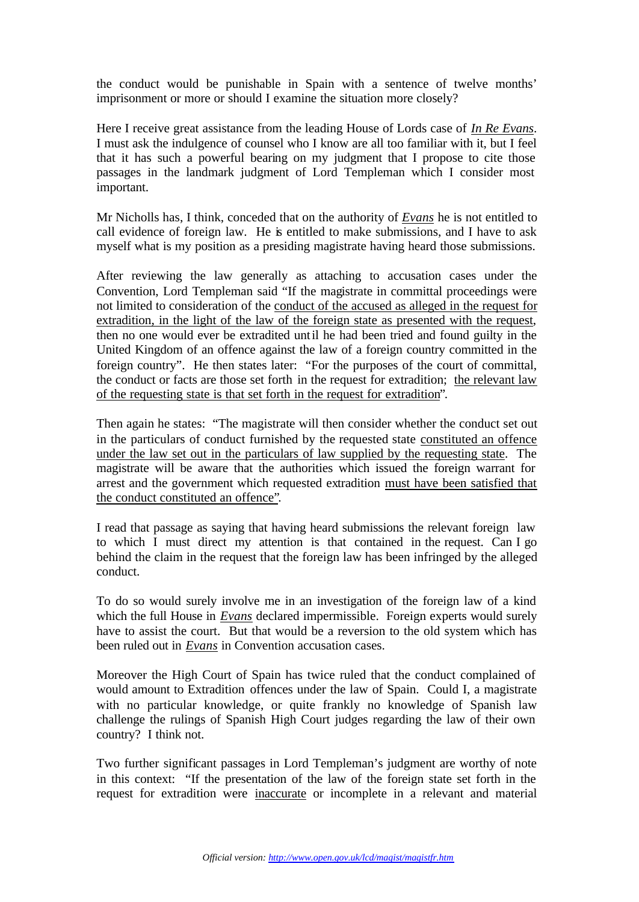the conduct would be punishable in Spain with a sentence of twelve months' imprisonment or more or should I examine the situation more closely?

Here I receive great assistance from the leading House of Lords case of *In Re Evans*. I must ask the indulgence of counsel who I know are all too familiar with it, but I feel that it has such a powerful bearing on my judgment that I propose to cite those passages in the landmark judgment of Lord Templeman which I consider most important.

Mr Nicholls has, I think, conceded that on the authority of *Evans* he is not entitled to call evidence of foreign law. He is entitled to make submissions, and I have to ask myself what is my position as a presiding magistrate having heard those submissions.

After reviewing the law generally as attaching to accusation cases under the Convention, Lord Templeman said "If the magistrate in committal proceedings were not limited to consideration of the conduct of the accused as alleged in the request for extradition, in the light of the law of the foreign state as presented with the request, then no one would ever be extradited until he had been tried and found guilty in the United Kingdom of an offence against the law of a foreign country committed in the foreign country". He then states later: "For the purposes of the court of committal, the conduct or facts are those set forth in the request for extradition; the relevant law of the requesting state is that set forth in the request for extradition".

Then again he states: "The magistrate will then consider whether the conduct set out in the particulars of conduct furnished by the requested state constituted an offence under the law set out in the particulars of law supplied by the requesting state. The magistrate will be aware that the authorities which issued the foreign warrant for arrest and the government which requested extradition must have been satisfied that the conduct constituted an offence".

I read that passage as saying that having heard submissions the relevant foreign law to which I must direct my attention is that contained in the request. Can I go behind the claim in the request that the foreign law has been infringed by the alleged conduct.

To do so would surely involve me in an investigation of the foreign law of a kind which the full House in *Evans* declared impermissible. Foreign experts would surely have to assist the court. But that would be a reversion to the old system which has been ruled out in *Evans* in Convention accusation cases.

Moreover the High Court of Spain has twice ruled that the conduct complained of would amount to Extradition offences under the law of Spain. Could I, a magistrate with no particular knowledge, or quite frankly no knowledge of Spanish law challenge the rulings of Spanish High Court judges regarding the law of their own country? I think not.

Two further significant passages in Lord Templeman's judgment are worthy of note in this context: "If the presentation of the law of the foreign state set forth in the request for extradition were inaccurate or incomplete in a relevant and material